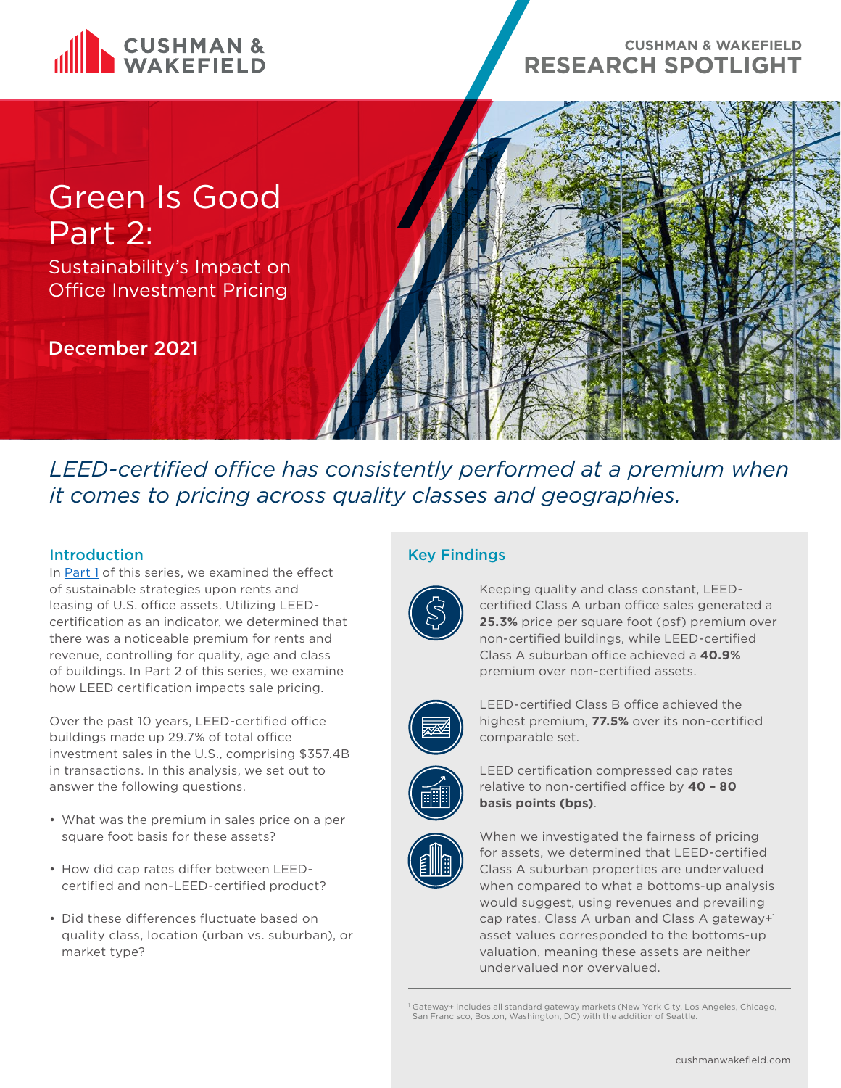

# **CUSHMAN & WAKEFIELD RESEARCH SPOTLIGHT**

# Green Is Good Part 2:

Sustainability's Impact on Office Investment Pricing

December 2021



*LEED-certified office has consistently performed at a premium when it comes to pricing across quality classes and geographies.*

# **Introduction**

In [Part 1](https://www.cushmanwakefield.com/en/united-states/insights/green-is-good-sustainable-office-outperforms-in-class-a-urban-markets) of this series, we examined the effect of sustainable strategies upon rents and leasing of U.S. office assets. Utilizing LEEDcertification as an indicator, we determined that there was a noticeable premium for rents and revenue, controlling for quality, age and class of buildings. In Part 2 of this series, we examine how LEED certification impacts sale pricing.

Over the past 10 years, LEED-certified office buildings made up 29.7% of total office investment sales in the U.S., comprising \$357.4B in transactions. In this analysis, we set out to answer the following questions.

- What was the premium in sales price on a per square foot basis for these assets?
- How did cap rates differ between LEEDcertified and non-LEED-certified product?
- Did these differences fluctuate based on quality class, location (urban vs. suburban), or market type?

# Key Findings



Keeping quality and class constant, LEEDcertified Class A urban office sales generated a **25.3%** price per square foot (psf) premium over non-certified buildings, while LEED-certified Class A suburban office achieved a **40.9%** premium over non-certified assets.



LEED-certified Class B office achieved the highest premium, **77.5%** over its non-certified comparable set.



LEED certification compressed cap rates relative to non-certified office by **40 – 80 basis points (bps)**.



When we investigated the fairness of pricing for assets, we determined that LEED-certified Class A suburban properties are undervalued when compared to what a bottoms-up analysis would suggest, using revenues and prevailing cap rates. Class A urban and Class A gateway+1 asset values corresponded to the bottoms-up valuation, meaning these assets are neither undervalued nor overvalued.

<sup>1</sup> Gateway+ includes all standard gateway markets (New York City, Los Angeles, Chicago, San Francisco, Boston, Washington, DC) with the addition of Seattle.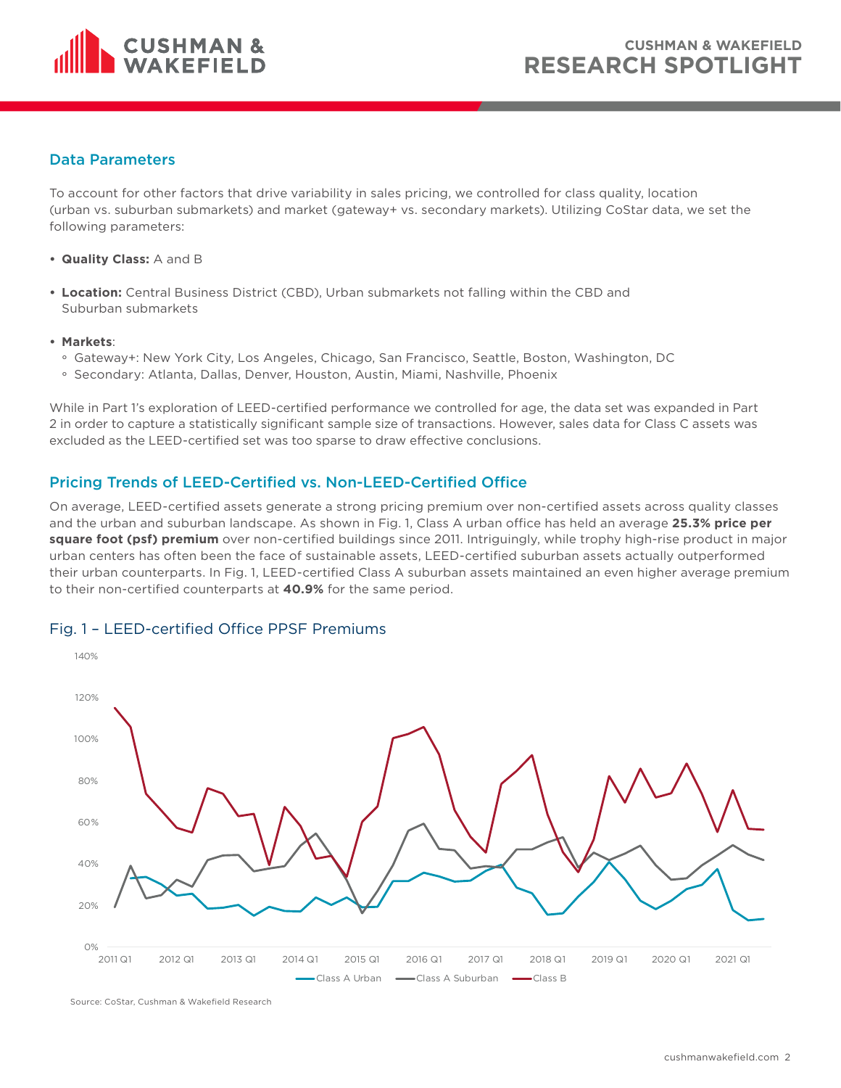

#### Data Parameters

To account for other factors that drive variability in sales pricing, we controlled for class quality, location (urban vs. suburban submarkets) and market (gateway+ vs. secondary markets). Utilizing CoStar data, we set the following parameters:

- **• Quality Class:** A and B
- **• Location:** Central Business District (CBD), Urban submarkets not falling within the CBD and Suburban submarkets
- **• Markets**:
	- ° Gateway+: New York City, Los Angeles, Chicago, San Francisco, Seattle, Boston, Washington, DC
	- ° Secondary: Atlanta, Dallas, Denver, Houston, Austin, Miami, Nashville, Phoenix

While in Part 1's exploration of LEED-certified performance we controlled for age, the data set was expanded in Part 2 in order to capture a statistically significant sample size of transactions. However, sales data for Class C assets was excluded as the LEED-certified set was too sparse to draw effective conclusions.

# Pricing Trends of LEED-Certified vs. Non-LEED-Certified Office

On average, LEED-certified assets generate a strong pricing premium over non-certified assets across quality classes and the urban and suburban landscape. As shown in Fig. 1, Class A urban office has held an average **25.3% price per square foot (psf) premium** over non-certified buildings since 2011. Intriguingly, while trophy high-rise product in major urban centers has often been the face of sustainable assets, LEED-certified suburban assets actually outperformed their urban counterparts. In Fig. 1, LEED-certified Class A suburban assets maintained an even higher average premium to their non-certified counterparts at **40.9%** for the same period.



#### Fig. 1 – LEED-certified Office PPSF Premiums

Source: CoStar, Cushman & Wakefield Research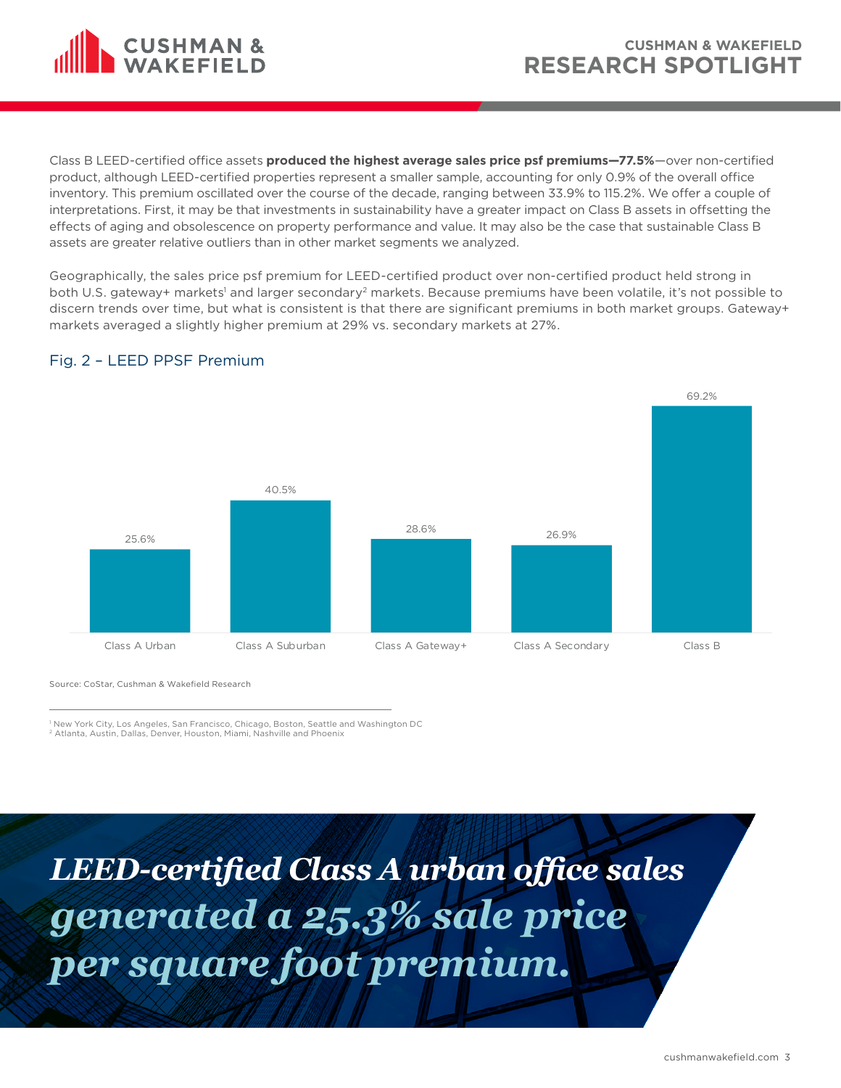

Class B LEED-certified office assets **produced the highest average sales price psf premiums—77.5%**—over non-certified product, although LEED-certified properties represent a smaller sample, accounting for only 0.9% of the overall office inventory. This premium oscillated over the course of the decade, ranging between 33.9% to 115.2%. We offer a couple of interpretations. First, it may be that investments in sustainability have a greater impact on Class B assets in offsetting the effects of aging and obsolescence on property performance and value. It may also be the case that sustainable Class B assets are greater relative outliers than in other market segments we analyzed.

Geographically, the sales price psf premium for LEED-certified product over non-certified product held strong in both U.S. gateway+ markets' and larger secondary<sup>2</sup> markets. Because premiums have been volatile, it's not possible to discern trends over time, but what is consistent is that there are significant premiums in both market groups. Gateway+ markets averaged a slightly higher premium at 29% vs. secondary markets at 27%.



#### Fig. 2 – LEED PPSF Premium

Source: CoStar, Cushman & Wakefield Research

1 New York City, Los Angeles, San Francisco, Chicago, Boston, Seattle and Washington DC 2 Atlanta, Austin, Dallas, Denver, Houston, Miami, Nashville and Phoenix

*LEED-certified Class A urban office sales generated a 25.3% sale price per square foot premium.*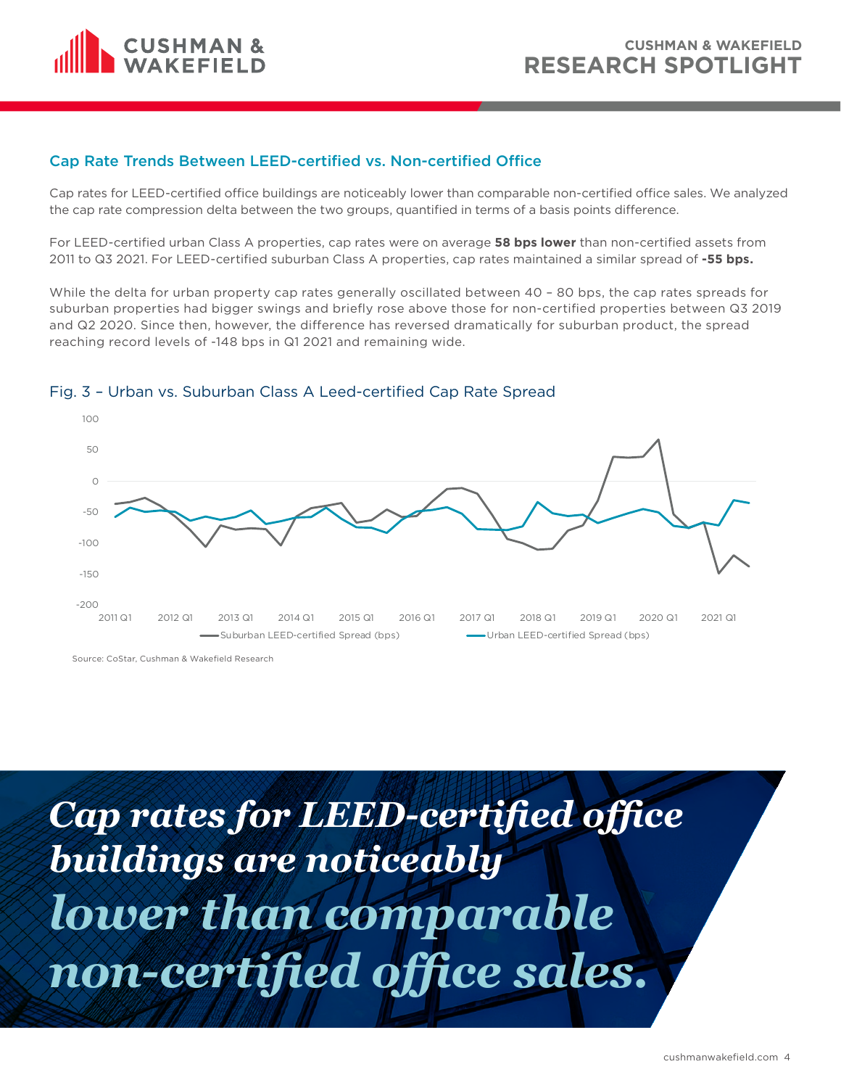

#### Cap Rate Trends Between LEED-certified vs. Non-certified Office

Cap rates for LEED-certified office buildings are noticeably lower than comparable non-certified office sales. We analyzed the cap rate compression delta between the two groups, quantified in terms of a basis points difference.

For LEED-certified urban Class A properties, cap rates were on average **58 bps lower** than non-certified assets from 2011 to Q3 2021. For LEED-certified suburban Class A properties, cap rates maintained a similar spread of **-55 bps.** 

While the delta for urban property cap rates generally oscillated between 40 - 80 bps, the cap rates spreads for suburban properties had bigger swings and briefly rose above those for non-certified properties between Q3 2019 and Q2 2020. Since then, however, the difference has reversed dramatically for suburban product, the spread reaching record levels of -148 bps in Q1 2021 and remaining wide.



#### Fig. 3 – Urban vs. Suburban Class A Leed-certified Cap Rate Spread

Source: CoStar, Cushman & Wakefield Research

*Cap rates for LEED-certified office buildings are noticeably lower than comparable non-certified office sales.*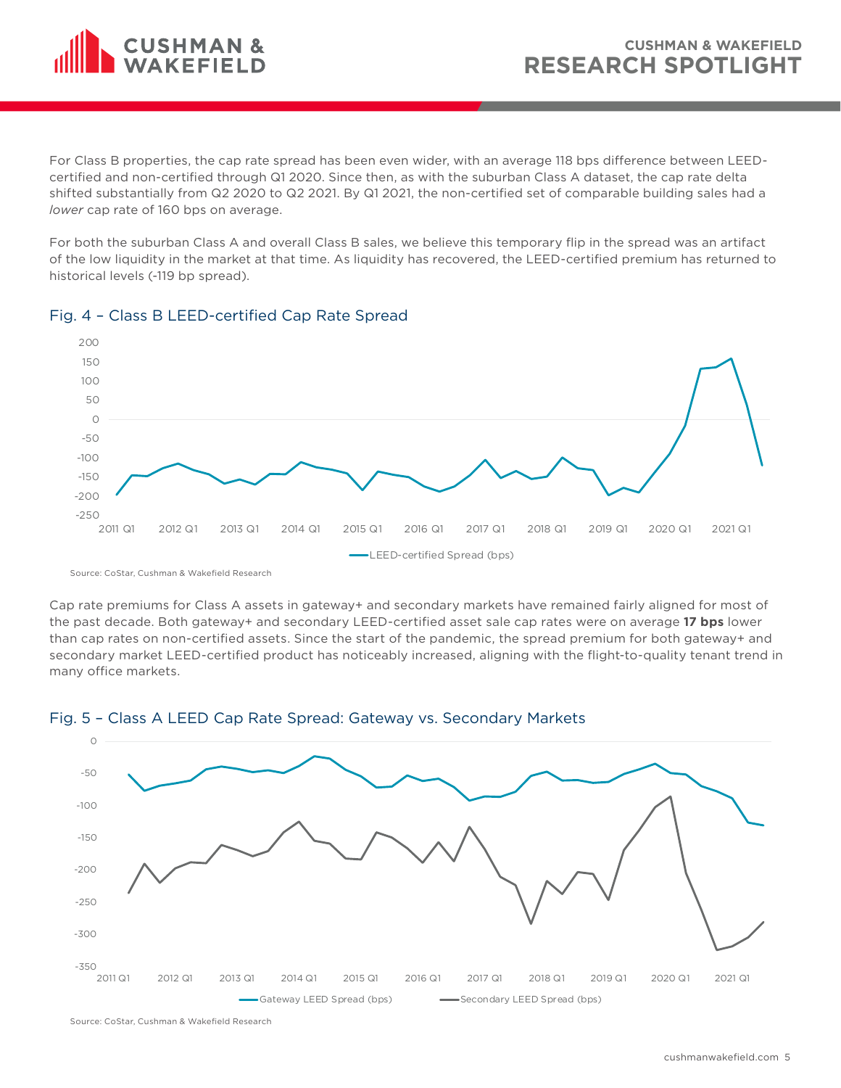

For Class B properties, the cap rate spread has been even wider, with an average 118 bps difference between LEEDcertified and non-certified through Q1 2020. Since then, as with the suburban Class A dataset, the cap rate delta shifted substantially from Q2 2020 to Q2 2021. By Q1 2021, the non-certified set of comparable building sales had a *lower* cap rate of 160 bps on average.

For both the suburban Class A and overall Class B sales, we believe this temporary flip in the spread was an artifact of the low liquidity in the market at that time. As liquidity has recovered, the LEED-certified premium has returned to historical levels (-119 bp spread).



#### Fig. 4 – Class B LEED-certified Cap Rate Spread

Source: CoStar, Cushman & Wakefield Research

Cap rate premiums for Class A assets in gateway+ and secondary markets have remained fairly aligned for most of the past decade. Both gateway+ and secondary LEED-certified asset sale cap rates were on average **17 bps** lower than cap rates on non-certified assets. Since the start of the pandemic, the spread premium for both gateway+ and secondary market LEED-certified product has noticeably increased, aligning with the flight-to-quality tenant trend in many office markets.



# Fig. 5 – Class A LEED Cap Rate Spread: Gateway vs. Secondary Markets

Source: CoStar, Cushman & Wakefield Research